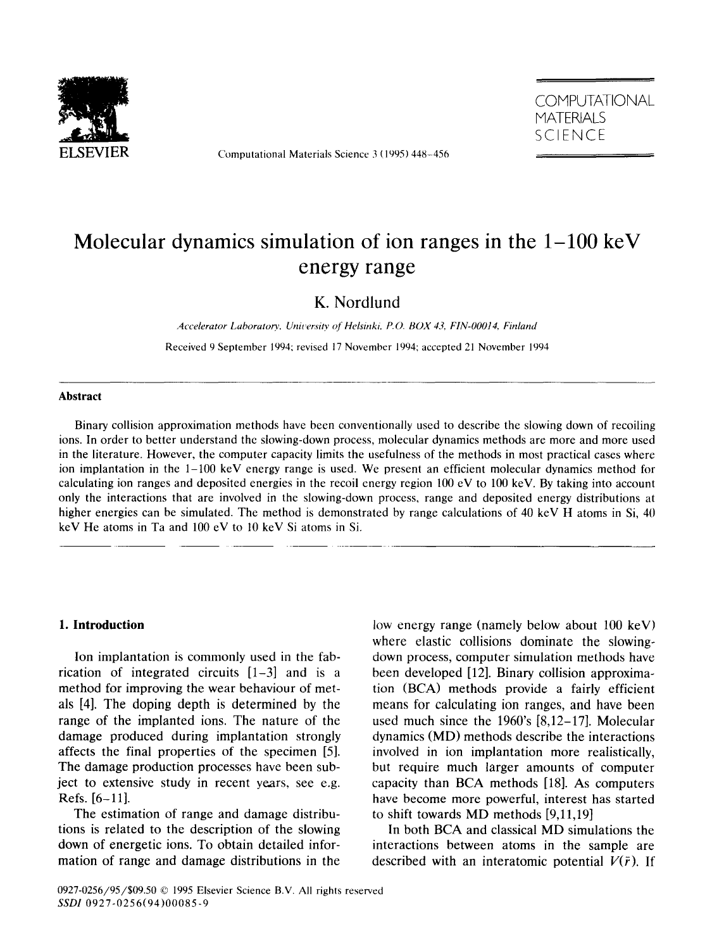

Computational Materials Science 3 (1995) 448-456



# Molecular dynamics simulation of ion ranges in the  $1-100 \text{ keV}$ energy range

## K. Nordlund

Accelerator Laboratory, University of Helsinki, P.O. BOX 43, FIN-00014, Finland

Received 9 September 1994; revised 17 November 1994: accepted 21 November 1994

#### **Abstract**

Binary collision approximation methods have been conventionally used to describe the slowing down of recoiling ions. In order to better understand the slowing-down process, molecular dynamics methods are more and more used in the literature. However, the computer capacity limits the usefulness of the methods in most practical cases where ion implantation in the l-100 keV energy range is used. We present an efficient molecular dynamics method for calculating ion ranges and deposited energies **in** the recoil energy region 100 eV to 100 keV. By taking into account only the interactions that are involved in the slowing-down process, range and deposited energy distributions at higher energies can be simulated. The method is demonstrated by range calculations of 40 keV H atoms in Si, 40 keV He atoms in Ta and 100 eV to 10 keV Si atoms in Si.

## **1. Introduction**

Ion implantation is commonly used in the fabrication of integrated circuits  $[1-3]$  and is a method for improving the wear behaviour of metals [4]. The doping depth is determined by the range of the implanted ions. The nature of the damage produced during implantation strongly affects the final properties of the specimen [51. The damage production processes have been subject to extensive study in recent years, see e.g. Refs. [6-11].

The estimation of range and damage distributions is related to the description of the slowing down of energetic ions. To obtain detailed information of range and damage distributions in the

low energy range (namely below about 100 keV) where elastic collisions dominate the slowingdown process, computer simulation methods have been developed [12]. Binary collision approximation (BCA) methods provide a fairly efficient means for calculating ion ranges, and have been used much since the 1960's [8,12-171. Molecular dynamics (MD) methods describe the interactions involved in ion implantation more realistically, but require much larger amounts of computer capacity than BCA methods [18]. As computers have become more powerful, interest has started to shift towards MD methods [9,11,19]

In both BCA and classical MD simulations the interactions between atoms in the sample are described with an interatomic potential  $V(\bar{r})$ . If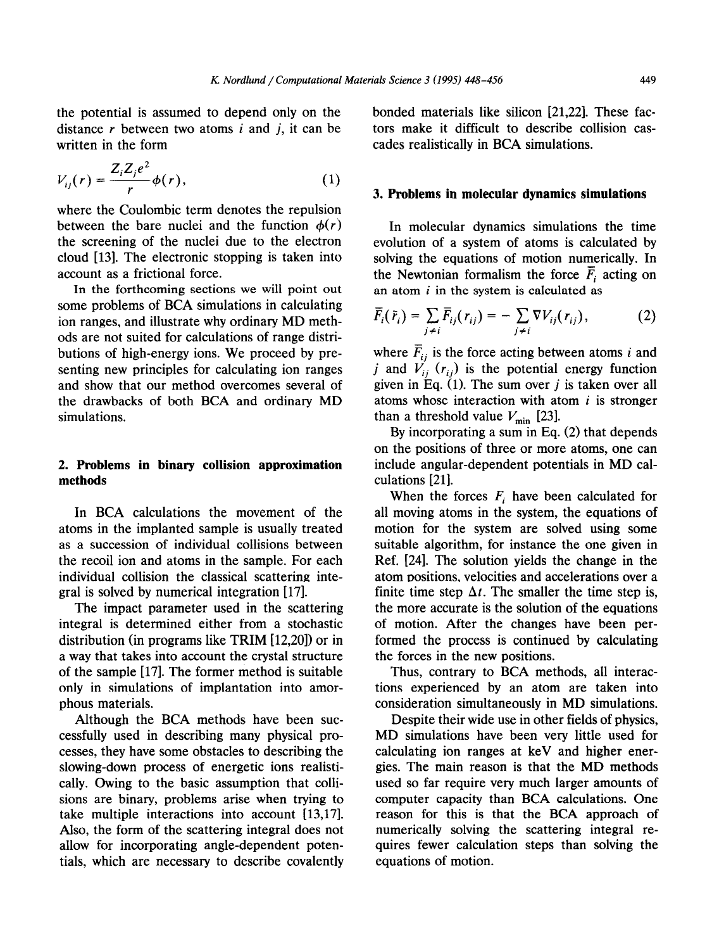the potential is assumed to depend only on the distance  $r$  between two atoms  $i$  and  $j$ , it can be written in the form

$$
V_{ij}(r) = \frac{Z_i Z_j e^2}{r} \phi(r), \qquad (1)
$$

where the Coulombic term denotes the repulsion between the bare nuclei and the function  $\phi(r)$ the screening of the nuclei due to the electron cloud [13]. The electronic stopping is taken into account as a frictional force.

In the forthcoming sections we will point out some problems of BCA simulations in calculating ion ranges, and illustrate why ordinary MD methods are not suited for calculations of range distributions of high-energy ions. We proceed by presenting new principles for calculating ion ranges and show that our method overcomes several of the drawbacks of both BCA and ordinary MD simulations.

## 2. **Problems in binary collision approximation methods**

In BCA calculations the movement of the atoms in the implanted sample is usually treated as a succession of individual collisions between the recoil ion and atoms in the sample. For each individual collision the classical scattering integral is solved by numerical integration [17].

The impact parameter used in the scattering integral is determined either from a stochastic distribution (in programs like TRIM [12,20]) or in a way that takes into account the crystal structure of the sample [17]. The former method is suitable only in simulations of implantation into amorphous materials.

cessfully used in describing many physical pro- MD simulations have been very little used for cesses, they have some obstacles to describing the calculating ion ranges at keV and higher enerslowing-down process of energetic ions realisti- gies. The main reason is that the MD methods cally. Owing to the basic assumption that colli- used so far require very much larger amounts of sions are binary, problems arise when trying to computer capacity than BCA calculations. One take multiple interactions into account  $[13,17]$ . reason for this is that the BCA approach of Also, the form of the scattering integral does not numerically solving the scattering integral reallow for incorporating angle-dependent poten- quires fewer calculation steps than solving the tials, which are necessary to describe covalently equations of motion.

bonded materials like silicon [21,22]. These factors make it difficult to describe collision cascades realistically in BCA simulations.

#### 3. **Problems in molecular dynamics simulations**

In molecular dynamics simulations the time evolution of a system of atoms is calculated by solving the equations of motion numerically. In the Newtonian formalism the force  $\overline{F}_i$  acting on an atom *i* in the system is calculated as

$$
\overline{F}_i(\overline{r}_i) = \sum_{j \neq i} \overline{F}_{ij}(r_{ij}) = -\sum_{j \neq i} \nabla V_{ij}(r_{ij}), \qquad (2)
$$

where  $\overline{F}_{ii}$  is the force acting between atoms *i* and j and  $V_{ii}$  ( $r_{ii}$ ) is the potential energy function given in Eq.  $(1)$ . The sum over j is taken over all atoms whose interaction with atom *i* is stronger than a threshold value  $V_{\text{min}}$  [23].

By incorporating a sum in Eq. (2) that depends on the positions of three or more atoms, one can include angular-dependent potentials in MD calculations [21].

When the forces  $F_i$  have been calculated for all moving atoms in the system, the equations of motion for the system are solved using some suitable algorithm, for instance the one given in Ref. [24]. The solution yields the change in the atom positions, velocities and accelerations over a finite time step  $\Delta t$ . The smaller the time step is, the more accurate is the solution of the equations of motion. After the changes have been performed the process is continued by calculating the forces in the new positions.

Thus, contrary to BCA methods, all interactions experienced by an atom are taken into consideration simultaneously in MD simulations.

Although the BCA methods have been suc- Despite their wide use in other fields of physics,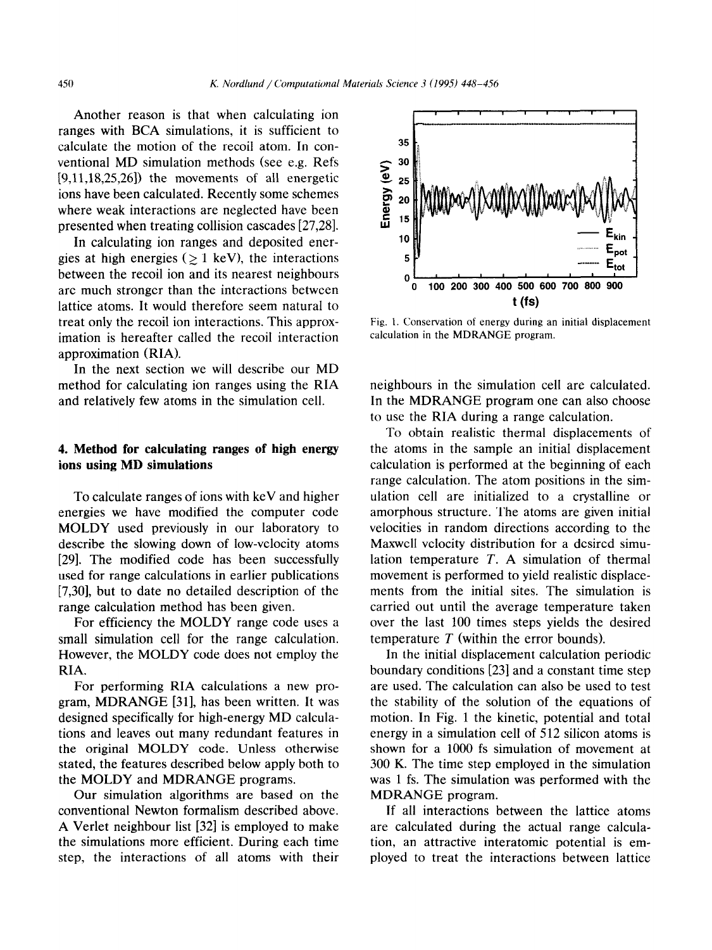Another reason is that when calculating ion ranges with BCA simulations, it is sufficient to calculate the motion of the recoil atom. In conventional MD simulation methods (see e.g. Refs [9,11,18,25,26]) the movements of all energetic ions have been calculated. Recently some schemes where weak interactions are neglected have been presented when treating collision cascades [27,281.

In calculating ion ranges and deposited energies at high energies ( $\geq 1$  keV), the interactions between the recoil ion and its nearest neighbours are much stronger than the interactions between lattice atoms. It would therefore seem natural to treat only the recoil ion interactions. This approximation is hereafter called the recoil interaction approximation (RIA).

In the next section we will describe our MD method for calculating ion ranges using the RIA and relatively few atoms in the simulation cell.

## 4. **Method for calculating ranges of high energy ions using MD simulations**

To calculate ranges of ions with keV and higher energies we have modified the computer code MOLDY used previously in our laboratory to describe the slowing down of low-velocity atoms [29]. The modified code has been successfully used for range calculations in earlier publications [7,30], but to date no detailed description of the range calculation method has been given.

For efficiency the MOLDY range code uses a small simulation cell for the range calculation. However, the MOLDY code does not employ the RIA.

For performing RIA calculations a new program, MDRANGE [31], has been written. It was designed specifically for high-energy MD calculations and leaves out many redundant features in the original MOLDY code. Unless otherwise stated, the features described below apply both to the MOLDY and MDRANGE programs.

Our simulation algorithms are based on the conventional Newton formalism described above. A Verlet neighbour list [32] is employed to make the simulations more efficient. During each time step, the interactions of all atoms with their



Fig. 1. Conservation of energy during an initial displacement calculation in the MDRANGE program.

neighbours in the simulation cell are calculated. In the MDRANGE program one can also choose to use the RIA during a range calculation.

To obtain realistic thermal displacements of the atoms in the sample an initial displacement calculation is performed at the beginning of each range calculation. The atom positions in the simulation cell are initialized to a crystalline or amorphous structure. The atoms are given initial velocities in random directions according to the Maxwell velocity distribution for a desired simulation temperature *T.* A simulation of thermal movement is performed to yield realistic displacements from the initial sites. The simulation is carried out until the average temperature taken over the last 100 times steps yields the desired temperature *T* (within the error bounds).

In the initial displacement calculation periodic boundary conditions [23] and a constant time step are used. The calculation can also be used to test the stability of the solution of the equations of motion. In Fig. 1 the kinetic, potential and total energy in a simulation cell of 512 silicon atoms is shown for a 1000 fs simulation of movement at 300 K. The time step employed in the simulation was 1 fs. The simulation was performed with the MDRANGE program.

If all interactions between the lattice atoms are calculated during the actual range calculation, an attractive interatomic potential is employed to treat the interactions between lattice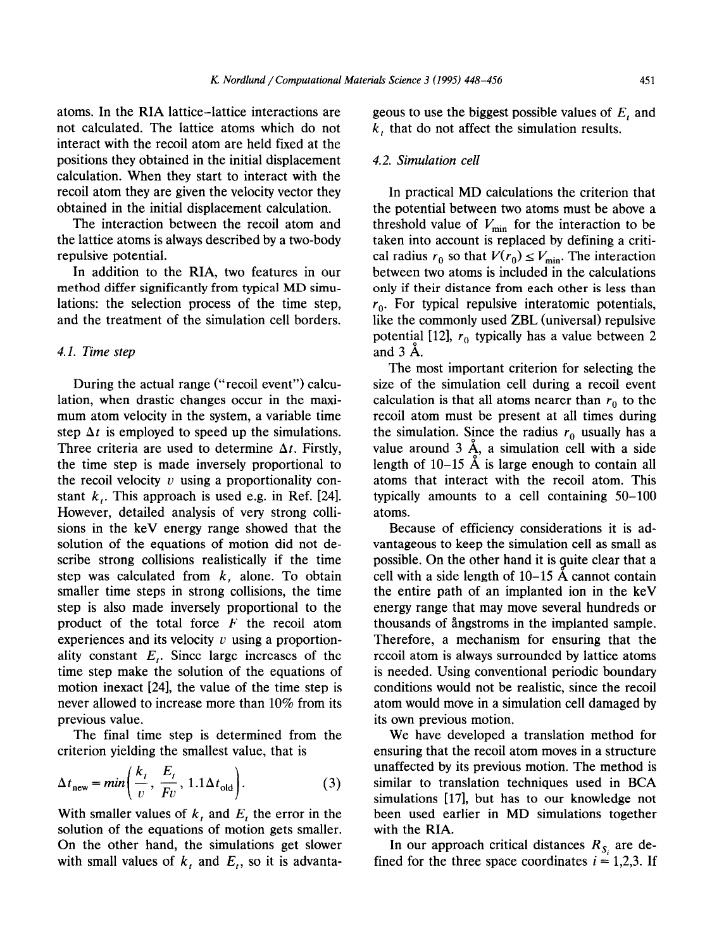atoms. In the RIA lattice-lattice interactions are not calculated. The lattice atoms which do not interact with the recoil atom are held fixed at the positions they obtained in the initial displacement calculation. When they start to interact with the recoil atom they are given the velocity vector they obtained in the initial displacement calculation.

The interaction between the recoil atom and the lattice atoms is always described by a two-body repulsive potential.

In addition to the RIA, two features in our method differ significantly from typical MD simulations: the selection process of the time step, and the treatment of the simulation cell borders.

#### 4.1. *Time step*

During the actual range ("recoil event") calculation, when drastic changes occur in the maximum atom velocity in the system, a variable time step  $\Delta t$  is employed to speed up the simulations. Three criteria are used to determine  $\Delta t$ . Firstly, the time step is made inversely proportional to the recoil velocity  $\nu$  using a proportionality constant  $k<sub>t</sub>$ . This approach is used e.g. in Ref. [24]. However, detailed analysis of very strong collisions in the keV energy range showed that the solution of the equations of motion did not describe strong collisions realistically if the time step was calculated from  $k<sub>i</sub>$  alone. To obtain smaller time steps in strong collisions, the time step is also made inversely proportional to the product of the total force *F* the recoil atom experiences and its velocity  $v$  using a proportionality constant  $E_t$ . Since large increases of the time step make the solution of the equations of motion inexact [24], the value of the time step is never allowed to increase more than 10% from its previous value.

The final time step is determined from the criterion yielding the smallest value, that is

$$
\Delta t_{\text{new}} = min\left(\frac{k_t}{v}, \frac{E_t}{Fv}, 1.1 \Delta t_{\text{old}}\right). \tag{3}
$$

With smaller values of *k,* and *E,* the error in the solution of the equations of motion gets smaller. On the other hand, the simulations get slower with small values of  $k_t$  and  $E_t$ , so it is advantageous to use the biggest possible values of *E,* and *k,* that do not affect the simulation results.

## 4.2. *Simulation cell*

In practical MD calculations the criterion that the potential between two atoms must be above a threshold value of  $V_{\text{min}}$  for the interaction to be taken into account is replaced by defining a critical radius  $r_0$  so that  $V(r_0) \le V_{\text{min}}$ . The interaction between two atoms is included in the calculations only if their distance from each other is less than  $r_0$ . For typical repulsive interatomic potentials, like the commonly used ZBL (universal) repulsive potential [12],  $r_0$  typically has a value between 2 and 3 A.

The most important criterion for selecting the size of the simulation cell during a recoil event calculation is that all atoms nearer than  $r_0$  to the recoil atom must be present at all times during the simulation. Since the radius  $r_0$  usually has a value around  $3 \text{ Å}$ , a simulation cell with a side length of  $10-15$  Å is large enough to contain all atoms that interact with the recoil atom. This typically amounts to a cell containing 50-100 atoms.

Because of efficiency considerations it is advantageous to keep the simulation cell as small as possible. On the other hand it is guite clear that a cell with a side length of  $10-15$  Å cannot contain the entire path of an implanted ion in the keV energy range that may move several hundreds or thousands of ångstroms in the implanted sample. Therefore, a mechanism for ensuring that the recoil atom is always surrounded by lattice atoms is needed. Using conventional periodic boundary conditions would not be realistic, since the recoil atom would move in a simulation cell damaged by its own previous motion,

We have developed a translation method for ensuring that the recoil atom moves in a structure unaffected by its previous motion. The method is similar to translation techniques used in BCA simulations [17], but has to our knowledge not been used earlier in MD simulations together with the RIA.

In our approach critical distances  $R_{S_i}$  are defined for the three space coordinates  $i = 1,2,3$ . If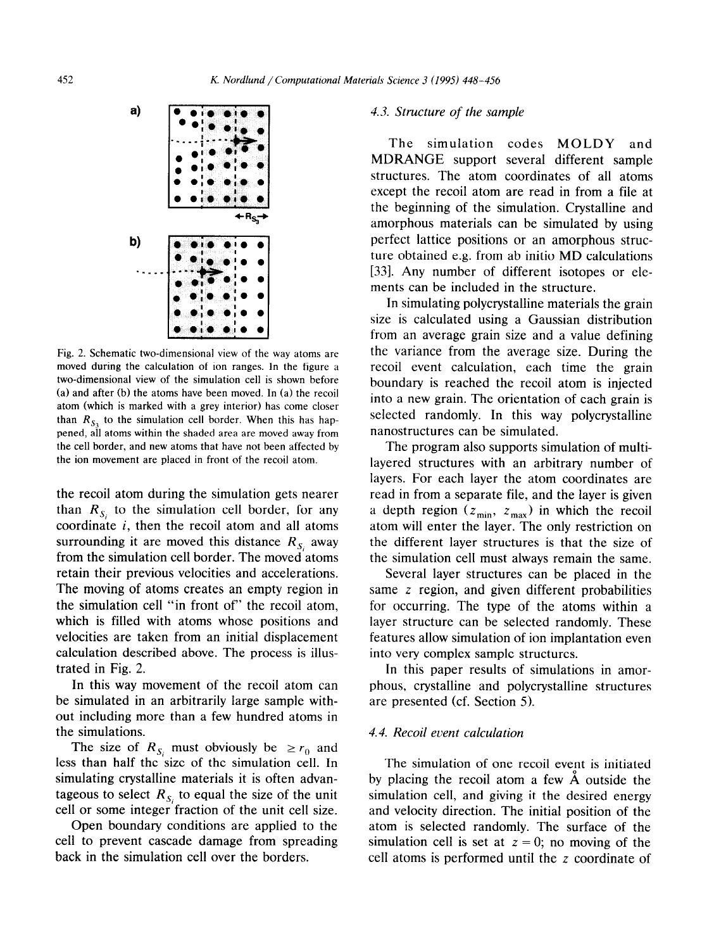

Fig. 2. Schematic two-dimensional view of the way atoms are moved during the calculation of ion ranges. In the figure a two-dimensional view of the simulation cell is shown before (a) and after (b) the atoms have been moved. In (a) the recoil atom (which is marked with a grey interior) has come closer than  $R<sub>S</sub>$ , to the simulation cell border. When this has happened, all atoms within the shaded area are moved away from the cell border, and new atoms that have not been affected by the ion movement are placed in front of the recoil atom.

the recoil atom during the simulation gets nearer than  $R_{S_i}$  to the simulation cell border, for any coordinate  $i$ , then the recoil atom and all atoms surrounding it are moved this distance  $R_{S_i}$  away from the simulation cell border. The moved atoms retain their previous velocities and accelerations. The moving of atoms creates an empty region in the simulation cell "in front of' the recoil atom, which is filled with atoms whose positions and velocities are taken from an initial displacement calculation described above. The process is illustrated in Fig. 2.

In this way movement of the recoil atom can be simulated in an arbitrarily large sample without including more than a few hundred atoms in the simulations.

The size of  $R_{S_i}$  must obviously be  $\geq r_0$  and less than half the size of the simulation cell. In simulating crystalline materials it is often advantageous to select  $R_{s_i}$  to equal the size of the unit cell or some integer fraction of the unit cell size.

Open boundary conditions are applied to the cell to prevent cascade damage from spreading back in the simulation cell over the borders.

#### *4.3. Structure of the sample*

The simulation codes MOLDY and MDRANGE support several different sample structures. The atom coordinates of all atoms except the recoil atom are read in from a file at the beginning of the simulation. Crystalline and amorphous materials can be simulated by using perfect lattice positions or an amorphous structure obtained e.g. from ab initio MD calculations [33]. Any number of different isotopes or elements can be included in the structure.

In simulating polycrystalline materials the grain size is calculated using a Gaussian distribution from an average grain size and a value defining the variance from the average size. During the recoil event calculation, each time the grain boundary is reached the recoil atom is injected into a new grain. The orientation of each grain is selected randomly. In this way polycrystalline nanostructures can be simulated.

The program also supports simulation of multilayered structures with an arbitrary number of layers. For each layer the atom coordinates are read in from a separate file, and the layer is given a depth region ( $z_{min}$ ,  $z_{max}$ ) in which the recoil atom will enter the layer. The only restriction on the different layer structures is that the size of the simulation cell must always remain the same.

Several layer structures can be placed in the same z region, and given different probabilities for occurring. The type of the atoms within a layer structure can be selected randomly. These features allow simulation of ion implantation even into very complex sample structures.

In this paper results of simulations in amorphous, crystalline and polycrystalline structures are presented (cf. Section 5).

#### 4.4. *Recoil event calculation*

The simulation of one recoil event is initiated by placing the recoil atom a few A outside the simulation cell, and giving it the desired energy and velocity direction. The initial position of the atom is selected randomly. The surface of the simulation cell is set at  $z = 0$ ; no moving of the cell atoms is performed until the z coordinate of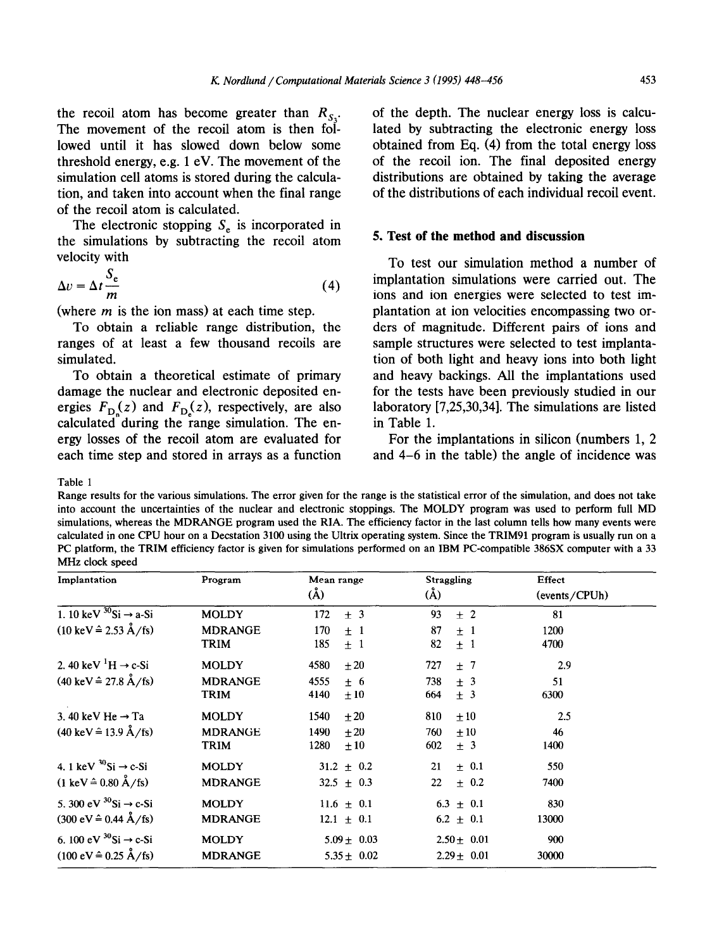the recoil atom has become greater than  $R_{S_3}$ . The movement of the recoil atom is then followed until it has slowed down below some threshold energy, e.g. 1 eV. The movement of the simulation cell atoms is stored during the calculation, and taken into account when the final range of the recoil atom is calculated.

The electronic stopping  $S<sub>e</sub>$  is incorporated in the simulations by subtracting the recoil atom velocity with

$$
\Delta v = \Delta t \frac{S_e}{m} \tag{4}
$$

(where *m* is the ion mass) at each time step.

To obtain a reliable range distribution, the ranges of at least a few thousand recoils are simulated.

To obtain a theoretical estimate of primary damage the nuclear and electronic deposited energies  $F_{\text{D}_n}(z)$  and  $F_{\text{D}_n}(z)$ , respectively, are also calculated during the range simulation. The energy losses of the recoil atom are evaluated for each time step and stored in arrays as a function of the depth. The nuclear energy loss is calculated by subtracting the electronic energy loss obtained from Eq. (4) from the total energy loss of the recoil ion. The final deposited energy distributions are obtained by taking the average of the distributions of each individual recoil event.

## **5. Test of the method and discussion**

To test our simulation method a number of implantation simulations were carried out. The ions and ion energies were selected to test implantation at ion velocities encompassing two orders of magnitude. Different pairs of ions and sample structures were selected to test implantation of both light and heavy ions into both light and heavy backings. All the implantations used for the tests have been previously studied in our laboratory [7,25,30,34]. The simulations are listed in Table 1.

For the implantations in silicon (numbers 1, 2 and 4-6 in the table) the angle of incidence was

Table 1

Range results for the various simulations. The error given for the range is the statistical error of the simulation, and does not take into account the uncertainties of the nuclear and electronic stoppings. The MOLDY program was used to perform full MD simulations, whereas the MDRANGE program used the RIA. The efficiency factor in the last column tells how many events were calculated in one CPU hour on a Decstation 3100 using the Ultrix operating system. Since the TRIM91 program is usually run on a PC platform, the TRIM efficiency factor is given for simulations performed on an IBM PC-compatible 386SX computer with a 33 MHz clock speed

| Implantation                                        | Program        | Mean range<br>$(\AA)$ | <b>Straggling</b><br>$\rm(\AA)$ | Effect        |
|-----------------------------------------------------|----------------|-----------------------|---------------------------------|---------------|
|                                                     |                |                       |                                 | (events/CPUh) |
| 1. 10 keV $^{30}$ Si $\rightarrow$ a-Si             | <b>MOLDY</b>   | $\pm$ 3<br>172        | 93<br>$\pm$ 2                   | 81            |
| $(10 \text{ keV} \hat{=} 2.53 \text{ Å}/\text{fs})$ | <b>MDRANGE</b> | 170<br>$\pm$ 1        | 87<br>$+1$                      | 1200          |
|                                                     | TRIM           | 185<br>±1             | 82<br>$\pm$ 1                   | 4700          |
| 2. 40 keV $\mathrm{^1H} \rightarrow c\text{-Si}$    | <b>MOLDY</b>   | 4580<br>$\pm 20$      | 727<br>±7                       | 2.9           |
| $(40 \text{ keV} \hat{=} 27.8 \text{ Å}/\text{fs})$ | <b>MDRANGE</b> | 4555<br>±6            | 738<br>± 3                      | 51            |
|                                                     | <b>TRIM</b>    | 4140<br>$\pm 10$      | 664<br>± 3                      | 6300          |
| 3.40 keV He $\rightarrow$ Ta                        | <b>MOLDY</b>   | $\pm 20$<br>1540      | 810<br>$\pm 10$                 | 2.5           |
| $(40 \text{ keV} \hat{=} 13.9 \text{ Å}/\text{fs})$ | <b>MDRANGE</b> | 1490<br>$+20$         | ±10<br>760                      | 46            |
|                                                     | <b>TRIM</b>    | 1280<br>$\pm 10$      | 602<br>± 3                      | 1400          |
| 4. 1 keV $^{30}$ Si $\rightarrow$ c-Si              | <b>MOLDY</b>   | $31.2 \pm 0.2$        | $\pm$ 0.1<br>21                 | 550           |
| $(1 \text{ keV} \hat{=} 0.80 \text{ Å}/\text{fs})$  | <b>MDRANGE</b> | $32.5 \pm 0.3$        | $\pm$ 0.2<br>22 <sub>1</sub>    | 7400          |
| 5.300 eV $^{30}$ Si $\rightarrow$ c-Si              | <b>MOLDY</b>   | $11.6 \pm 0.1$        | $6.3 \pm 0.1$                   | 830           |
| $(300 \text{ eV} \hat{=} 0.44 \text{ Å}/\text{fs})$ | <b>MDRANGE</b> | $12.1 \pm 0.1$        | $6.2 \pm 0.1$                   | 13000         |
| 6. 100 eV $^{30}$ Si → c-Si                         | <b>MOLDY</b>   | $5.09 \pm 0.03$       | $2.50 \pm 0.01$                 | 900           |
| $(100 \text{ eV} \hat{=} 0.25 \text{ Å}/\text{fs})$ | <b>MDRANGE</b> | $5.35 \pm 0.02$       | $2.29 \pm 0.01$                 | 30000         |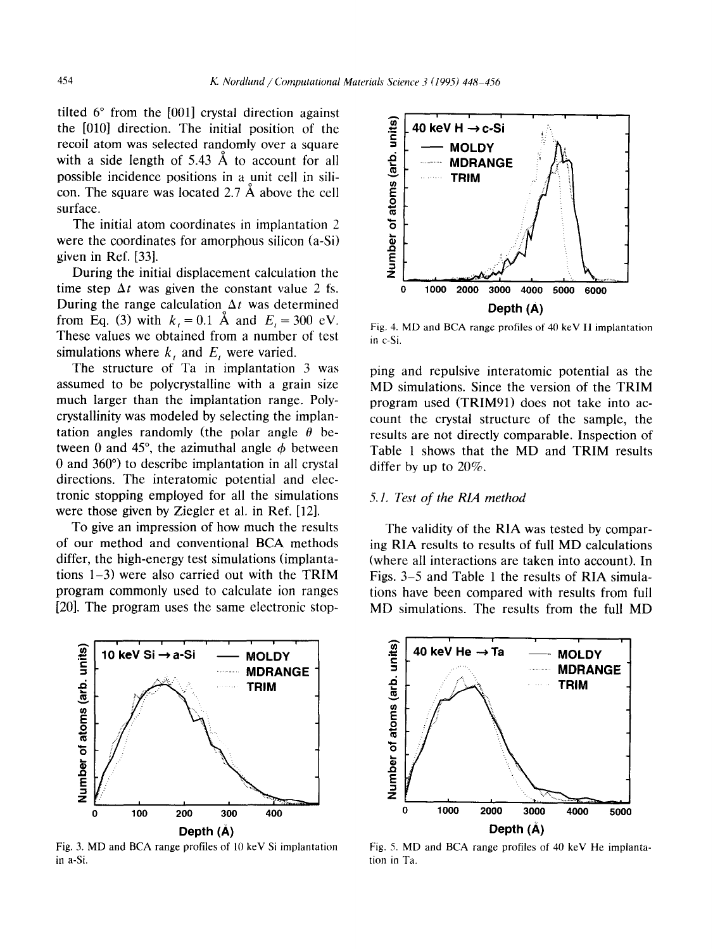tilted  $6^{\circ}$  from the [001] crystal direction against the [OlO] direction. The initial position of the recoil atom was selected randomly over a square with a side length of 5.43 Å to account for all possible incidence positions in a unit cell in silicon. The square was located 2.7 A above the cell surface.

The initial atom coordinates in implantation 2 were the coordinates for amorphous silicon  $(a-Si)$ given in Ref. [33].

During the initial displacement calculation the time step  $\Delta t$  was given the constant value 2 fs. During the range calculation  $\Delta t$  was determined from Eq. (3) with  $k_1 = 0.1$  Å and  $E_1 = 300$  eV. These values we obtained from a number of test simulations where  $k<sub>t</sub>$  and  $E<sub>t</sub>$  were varied.

The structure of Ta in implantation 3 was assumed to be polycrystalline with a grain size much larger than the implantation range. Polycrystallinity was modeled by selecting the implantation angles randomly (the polar angle  $\theta$  between 0 and 45°, the azimuthal angle  $\phi$  between 0 and 360") to describe implantation in all crystal directions. The interatomic potential and electronic stopping employed for all the simulations were those given by Ziegler et al. in Ref. [12].

To give an impression of how much the results The validity of the RIA was tested by compar-<br>of our method and conventional BCA methods ing RIA results to results of full MD calculations



Fig. 3. MD and BCA range profiles of 10 keV Si implantation in a-Si.



Fig. 4. MD and BCA range profiles of 40 keV H implantation in c-Si.

ping and repulsive interatomic potential as the MD simulations. Since the version of the TRIM program used (TRIM91) does not take into account the crystal structure of the sample, the results are not directly comparable. Inspection of Table 1 shows that the MD and TRIM results differ by up to 20%.

## 5. I. *Test of the RLA method*

of our method and conventional BCA methods ing RIA results to results of full MD calculations differ, the high-energy test simulations (implanta-<br>(where all interactions are taken into account). In differ, the high-energy test simulations (implanta-<br>tions 1–3) were also carried out with the TRIM Figs. 3–5 and Table 1 the results of RIA simulations 1–3) were also carried out with the TRIM Figs. 3–5 and Table 1 the results of RIA simula-<br>program commonly used to calculate ion ranges tions have been compared with results from full program commonly used to calculate ion ranges tions have been compared with results from full program uses the same electronic stop-<br>
MD simulations. The results from the full MD MD simulations. The results from the full MD



Fig. 5. MD and BCA range profiles of 40 keV He implantation in Ta.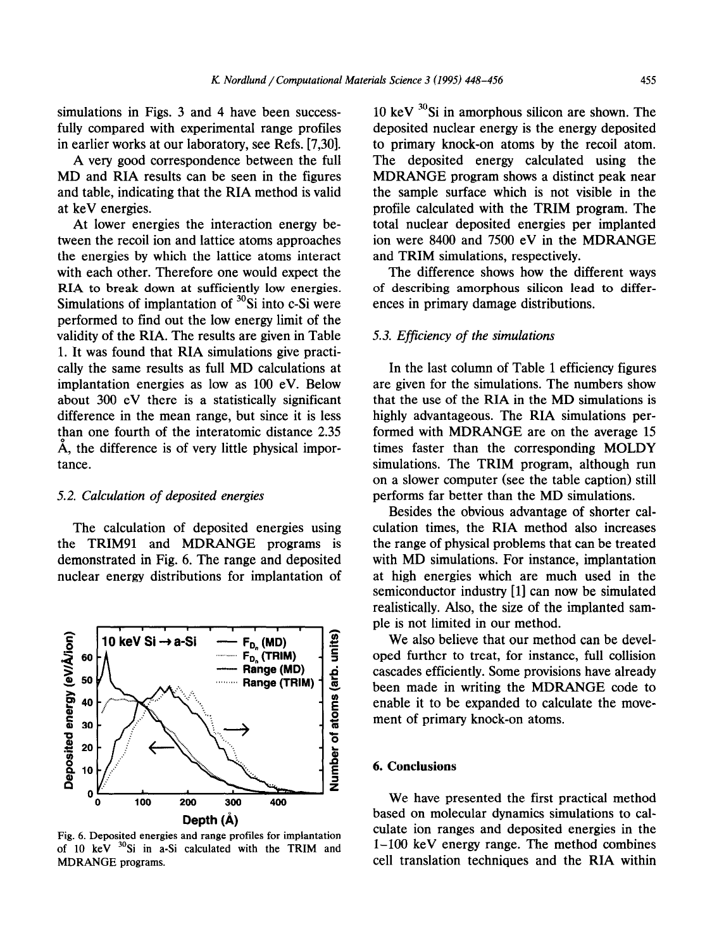simulations in Figs. 3 and 4 have been successfully compared with experimental range profiles in earlier works at our laboratory, see Refs. [7,30].

A very good correspondence between the full MD and RIA results can be seen in the figures and table, indicating that the RIA method is valid at keV energies.

At lower energies the interaction energy between the recoil ion and lattice atoms approaches the energies by which the lattice atoms interact with each other. Therefore one would expect the RIA to break down at sufficiently low energies. Simulations of implantation of  ${}^{30}$ Si into c-Si were performed to find out the low energy limit of the validity of the RIA. The results are given in Table 1. It was found that RIA simulations give practically the same results as full MD calculations at implantation energies as low as 100 eV. Below about 300 eV there is a statistically significant difference in the mean range, but since it is less than one fourth of the interatomic distance 2.35 A, the difference is of very little physical importance.

#### 5.2. *Calculation of deposited energies*

The calculation of deposited energies using the TRIM91 and MDRANGE programs is demonstrated in Fig. 6. The range and deposited nuclear energy distributions for implantation of



Fig. 6. Deposited energies and range profiles for implantation of  $10 \text{ keV}$   $30$ Si in a-Si calculated with the TRIM and MDRANGE programs.

10 keV  $30$ Si in amorphous silicon are shown. The deposited nuclear energy is the energy deposited to primary knock-on atoms by the recoil atom. The deposited energy calculated using the MDRANGE program shows a distinct peak near the sample surface which is not visible in the profile calculated with the TRIM program. The total nuclear deposited energies per implanted ion were 8400 and 7500 eV in the MDRANGE and TRIM simulations, respectively.

The difference shows how the different ways of describing amorphous silicon lead to differences in primary damage distributions.

#### 5.3. *Efficiency of the simulations*

In the last column of Table 1 efficiency figures are given for the simulations. The numbers show that the use of the RIA in the MD simulations is highly advantageous. The RIA simulations performed with MDRANGE are on the average 15 times faster than the corresponding MOLDY simulations. The TRIM program, although run on a slower computer (see the table caption) still performs far better than the MD simulations.

Besides the obvious advantage of shorter calculation times, the RIA method also increases the range of physical problems that can be treated with MD simulations. For instance, implantation at high energies which are much used in the semiconductor industry [l] can now be simulated realistically. Also, the size of the implanted sample is not limited in our method.

We also believe that our method can be developed further to treat, for instance, full collision cascades efficiently. Some provisions have already been made in writing the MDRANGE code to enable it to be expanded to calculate the movement of primary knock-on atoms.

## 6. **Conclusions**

We have presented the first practical method based on molecular dynamics simulations to calculate ion ranges and deposited energies in the l-100 keV energy range. The method combines cell translation techniques and the RIA within